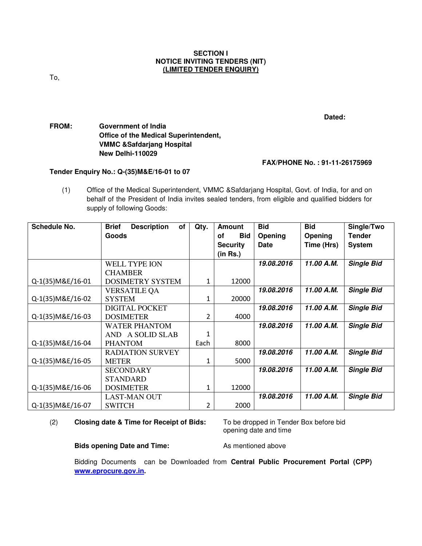### **SECTION I NOTICE INVITING TENDERS (NIT) (LIMITED TENDER ENQUIRY)**

To,

**Dated:** 

# **FROM: Government of India Office of the Medical Superintendent, VMMC &Safdarjang Hospital New Delhi-110029**

# **FAX/PHONE No. : 91-11-26175969**

# **Tender Enquiry No.: Q-(35)M&E/16-01 to 07**

(1) Office of the Medical Superintendent, VMMC &Safdarjang Hospital, Govt. of India, for and on behalf of the President of India invites sealed tenders, from eligible and qualified bidders for supply of following Goods:

| <b>Schedule No.</b> | <b>Description</b><br><b>Brief</b><br>of | Qty. | <b>Amount</b>    | <b>Bid</b> | <b>Bid</b> | Single/Two        |
|---------------------|------------------------------------------|------|------------------|------------|------------|-------------------|
|                     | <b>Goods</b>                             |      | <b>Bid</b><br>οf | Opening    | Opening    | <b>Tender</b>     |
|                     |                                          |      | <b>Security</b>  | Date       | Time (Hrs) | <b>System</b>     |
|                     |                                          |      | (in Rs.)         |            |            |                   |
|                     | <b>WELL TYPE ION</b>                     |      |                  | 19.08.2016 | 11.00 A.M. | <b>Single Bid</b> |
|                     | <b>CHAMBER</b>                           |      |                  |            |            |                   |
| Q-1(35) M&E/16-01   | <b>DOSIMETRY SYSTEM</b>                  |      | 12000            |            |            |                   |
|                     | <b>VERSATILE QA</b>                      |      |                  | 19.08.2016 | 11.00 A.M. | <b>Single Bid</b> |
| Q-1(35)M&E/16-02    | <b>SYSTEM</b>                            | 1    | 20000            |            |            |                   |
|                     | <b>DIGITAL POCKET</b>                    |      |                  | 19.08.2016 | 11.00 A.M. | <b>Single Bid</b> |
| Q-1(35) M&E/16-03   | <b>DOSIMETER</b>                         | 2    | 4000             |            |            |                   |
|                     | <b>WATER PHANTOM</b>                     |      |                  | 19.08.2016 | 11.00 A.M. | <b>Single Bid</b> |
|                     | AND A SOLID SLAB                         | 1    |                  |            |            |                   |
| Q-1(35) M&E/16-04   | <b>PHANTOM</b>                           | Each | 8000             |            |            |                   |
|                     | <b>RADIATION SURVEY</b>                  |      |                  | 19.08.2016 | 11.00 A.M. | <b>Single Bid</b> |
| Q-1(35) M&E/16-05   | <b>METER</b>                             |      | 5000             |            |            |                   |
|                     | <b>SECONDARY</b>                         |      |                  | 19.08.2016 | 11.00 A.M. | <b>Single Bid</b> |
|                     | <b>STANDARD</b>                          |      |                  |            |            |                   |
| Q-1(35) M&E/16-06   | <b>DOSIMETER</b>                         | 1    | 12000            |            |            |                   |
|                     | <b>LAST-MAN OUT</b>                      |      |                  | 19.08.2016 | 11.00 A.M. | <b>Single Bid</b> |
| Q-1(35) M&E/16-07   | <b>SWITCH</b>                            | 2    | 2000             |            |            |                   |

### (2) **Closing date & Time for Receipt of Bids:** To be dropped in Tender Box before bid

opening date and time

#### **Bids opening Date and Time:** As mentioned above

Bidding Documents can be Downloaded from **Central Public Procurement Portal (CPP) www.eprocure.gov.in.**